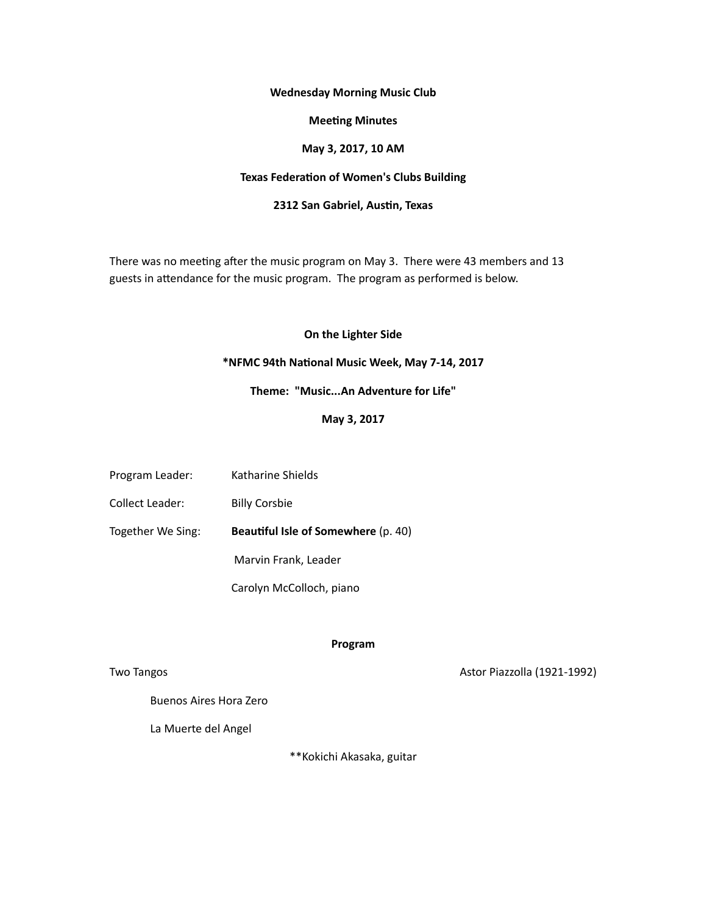#### **Wednesday Morning Music Club**

# **Meeting Minutes**

## **May 3, 2017, 10 AM**

## **Texas Federation of Women's Clubs Building**

## **2312 San Gabriel, Austin, Texas**

There was no meeting after the music program on May 3. There were 43 members and 13 guests in attendance for the music program. The program as performed is below.

## **On the Lighter Side**

#### **\*NFMC 94th Na3onal Music Week, May 7-14, 2017**

# Theme: "Music...An Adventure for Life"

## **May 3, 2017**

- Program Leader: Katharine Shields
- Collect Leader: Billy Corsbie

Together We Sing: **Beautiful Isle of Somewhere** (p. 40)

Marvin Frank, Leader

Carolyn McColloch, piano

## **Program**

Two Tangos **Markov Edge Contract Contract Contract Contract Contract Contract Contract Contract Contract Contract Contract Contract Contract Contract Contract Contract Contract Contract Contract Contract Contract Contract** 

Buenos Aires Hora Zero

La Muerte del Angel

\*\*Kokichi Akasaka, guitar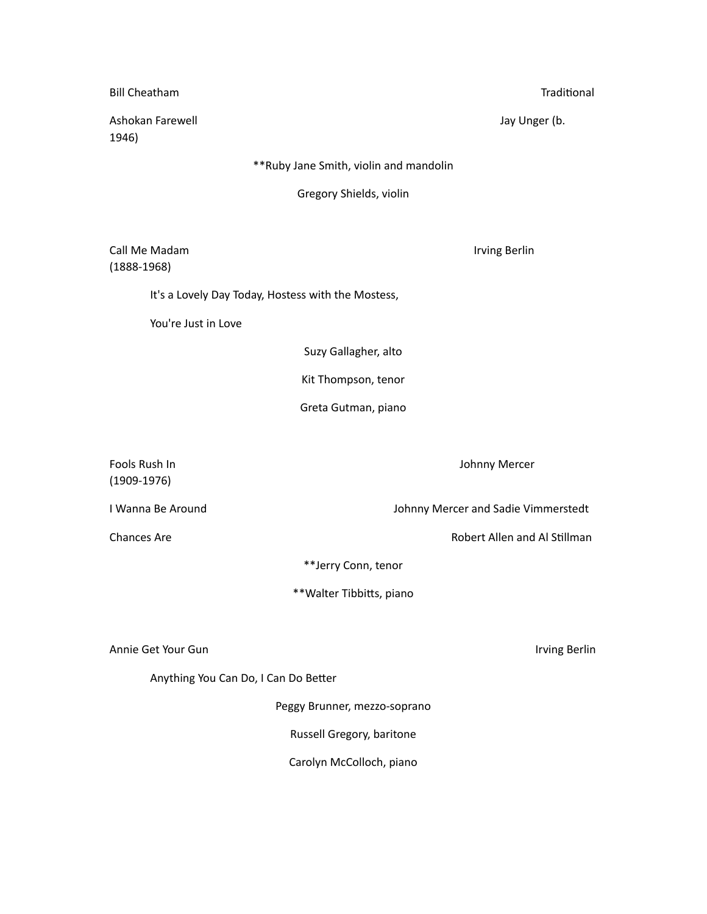| <b>Bill Cheatham</b>                                       | Traditional                         |
|------------------------------------------------------------|-------------------------------------|
| Ashokan Farewell<br>1946)                                  | Jay Unger (b.                       |
| ** Ruby Jane Smith, violin and mandolin                    |                                     |
| Gregory Shields, violin                                    |                                     |
| Call Me Madam<br>$(1888-1968)$                             | Irving Berlin                       |
| It's a Lovely Day Today, Hostess with the Mostess,         |                                     |
| You're Just in Love                                        |                                     |
|                                                            | Suzy Gallagher, alto                |
| Kit Thompson, tenor                                        |                                     |
| Greta Gutman, piano                                        |                                     |
| Fools Rush In<br>$(1909-1976)$                             | Johnny Mercer                       |
| I Wanna Be Around                                          | Johnny Mercer and Sadie Vimmerstedt |
| Chances Are                                                | Robert Allen and Al Stillman        |
| **Jerry Conn, tenor                                        |                                     |
| **Walter Tibbitts, piano                                   |                                     |
| Annie Get Your Gun<br>Anything You Can Do, I Can Do Better | Irving Berlin                       |

Peggy Brunner, mezzo-soprano

Russell Gregory, baritone

Carolyn McColloch, piano